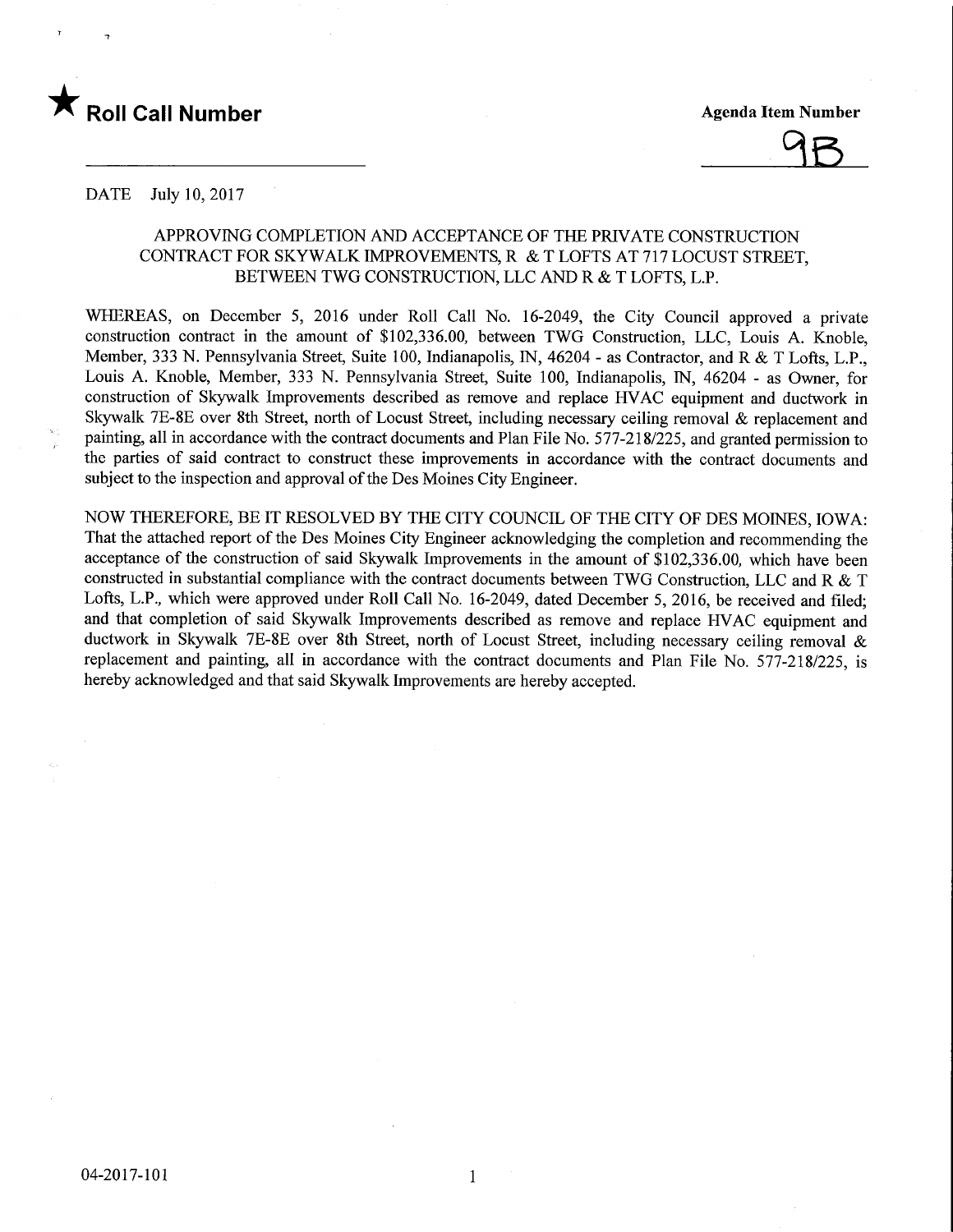



#### DATE July 10, 2017

## APPROVING COMPLETION AND ACCEPTANCE OF THE PRIVATE CONSTRUCTION CONTRACT FOR SKYWALK IMPROVEMENTS, R & T LOFTS AT 717 LOCUST STREET, BETWEEN TWO CONSTRUCTION, LLC AND R & T LOFTS, L.P.

WHEREAS, on December 5, 2016 under Roll Call No. 16-2049, the City Council approved a private construction contract in the amount of \$102,336.00, between TWG Construction, LLC, Louis A. Knoble, Member, 333 N. Pennsylvania Street, Suite 100, Indianapolis, IN, 46204 - as Contractor, and R & T Lofts, L.P., Louis A. Knoble, Member, 333 N. Pennsylvania Street, Suite 100, Indianapolis, IN, 46204 - as Owner, for construction of Skywalk Improvements described as remove and replace HVAC equipment and ductwork in Skywalk 7E-8E over 8th Street, north of Locust Street, including necessary ceiling removal & replacement and painting, all in accordance with the contract documents and Plan File No. 577-218/225, and granted permission to the parties of said contract to construct these improvements in accordance with the contract documents and subject to the inspection and approval of the Des Moines City Engineer.

NOW THEREFORE, BE IT RESOLVED BY THE CITY COUNCIL OF THE CITY OF DES MOINES, IOWA: That the attached report of the Des Moines City Engineer acknowledging the completion and recommending the acceptance of the construction of said Skywalk Improvements in the amount of \$102,336.00, which have been constructed in substantial compliance with the contract documents between TWO Construction, LLC and R & T Lofts, L.P., which were approved under Roll Call No. 16-2049, dated December 5, 2016, be received and filed; and that completion of said Skywalk Improvements described as remove and replace HVAC equipment and ductwork in Skywalk 7E-8E over 8th Street, north of Locust Street, including necessary ceiling removal & replacement and painting, all in accordance with the contract documents and Plan File No. 577-218/225, is hereby acknowledged and that said Skywalk Improvements are hereby accepted.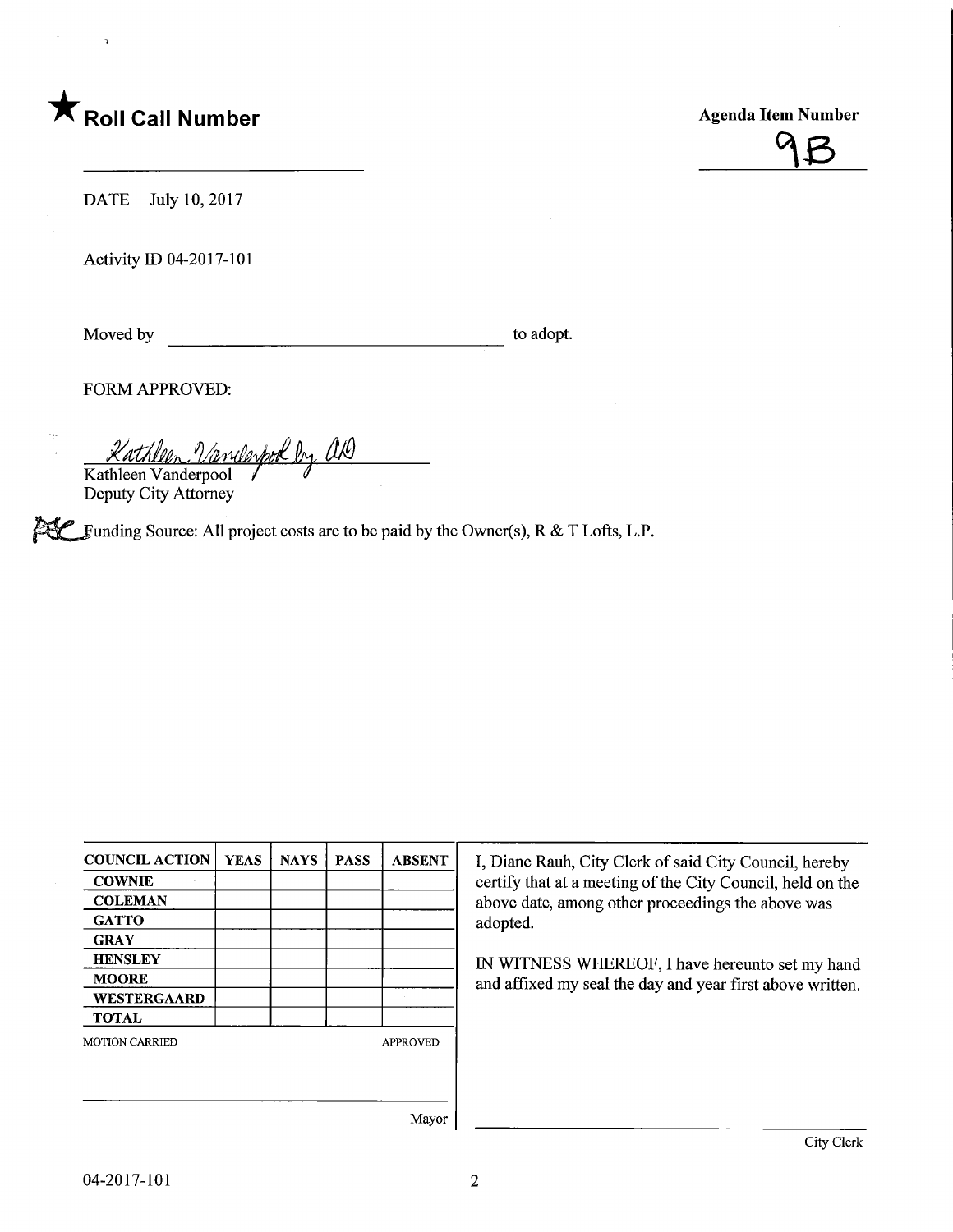# **Agenda Item Number Agenda Item Number** Agenda Item Number



DATE July 10, 2017

Activity ID 04-2017-101

Moved by to adopt.

FORM APPROVED:

<u>Kathleen Vanderpool by</u> ald

Deputy City Attorney

 $i\mathcal{H}$  Funding Source: All project costs are to be paid by the Owner(s), R & T Lofts, L.P.

| <b>COUNCIL ACTION</b> | <b>YEAS</b> | <b>NAYS</b>     | <b>PASS</b> | <b>ABSENT</b>        |
|-----------------------|-------------|-----------------|-------------|----------------------|
| <b>COWNIE</b>         |             |                 |             |                      |
| <b>COLEMAN</b>        |             |                 |             |                      |
| <b>GATTO</b>          |             |                 |             |                      |
| <b>GRAY</b>           |             |                 |             |                      |
| <b>HENSLEY</b>        |             |                 |             |                      |
| <b>MOORE</b>          |             |                 |             |                      |
| WESTERGAARD           |             |                 |             |                      |
| <b>TOTAL</b>          |             |                 |             |                      |
| <b>MOTION CARRIED</b> |             | <b>APPROVED</b> |             |                      |
|                       |             |                 |             |                      |
|                       |             |                 |             |                      |
|                       |             |                 |             | $\mathbf{X}$ finally |

I, Diane Rauh, City Clerk of said City Council, hereby certify that at a meeting of the City Council, held on the above date, among other proceedings the above was adopted.

IN WITNESS WHEREOF, I have hereunto set my hand and affixed my seal the day and year first above written.

Mayor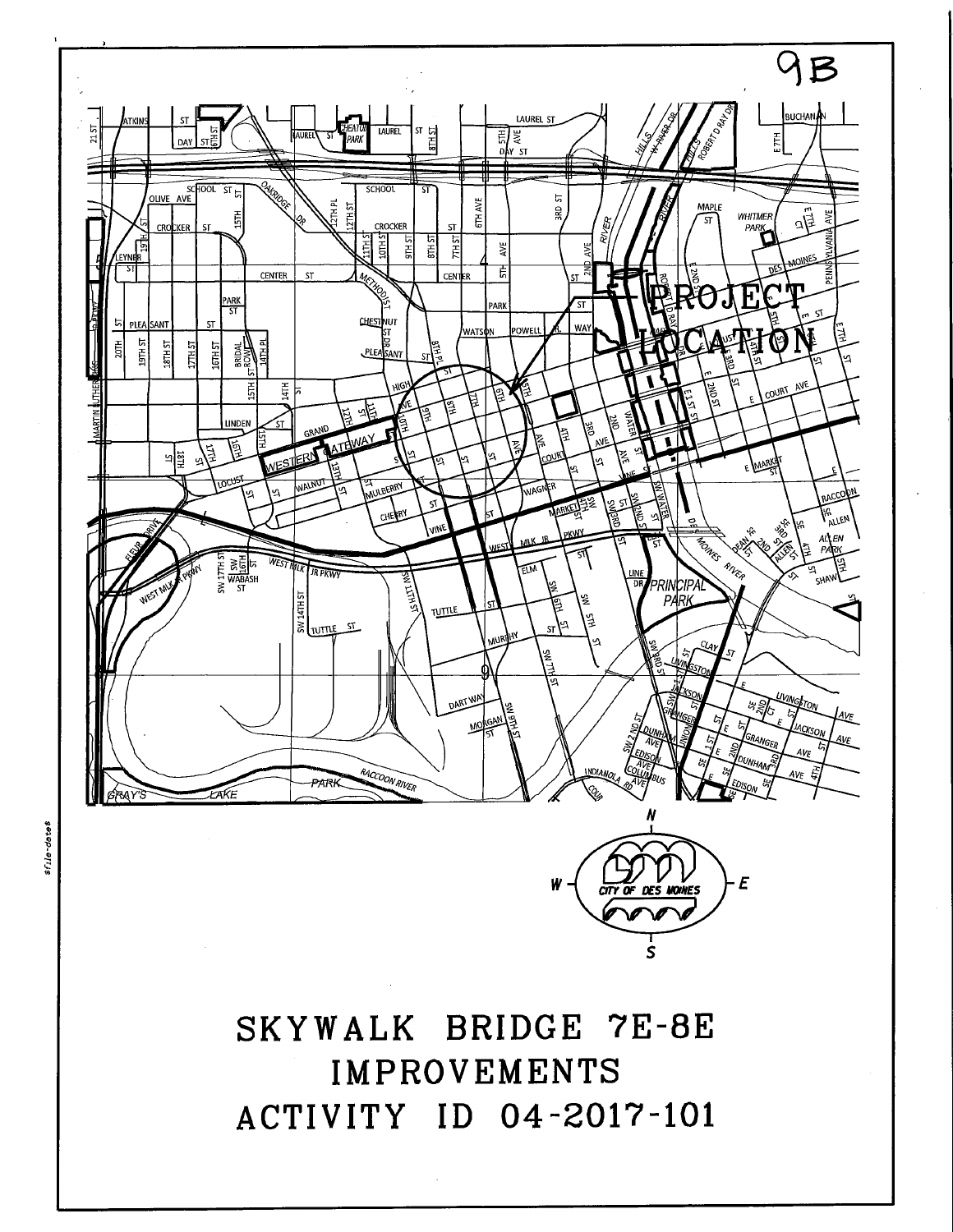

tfile-dates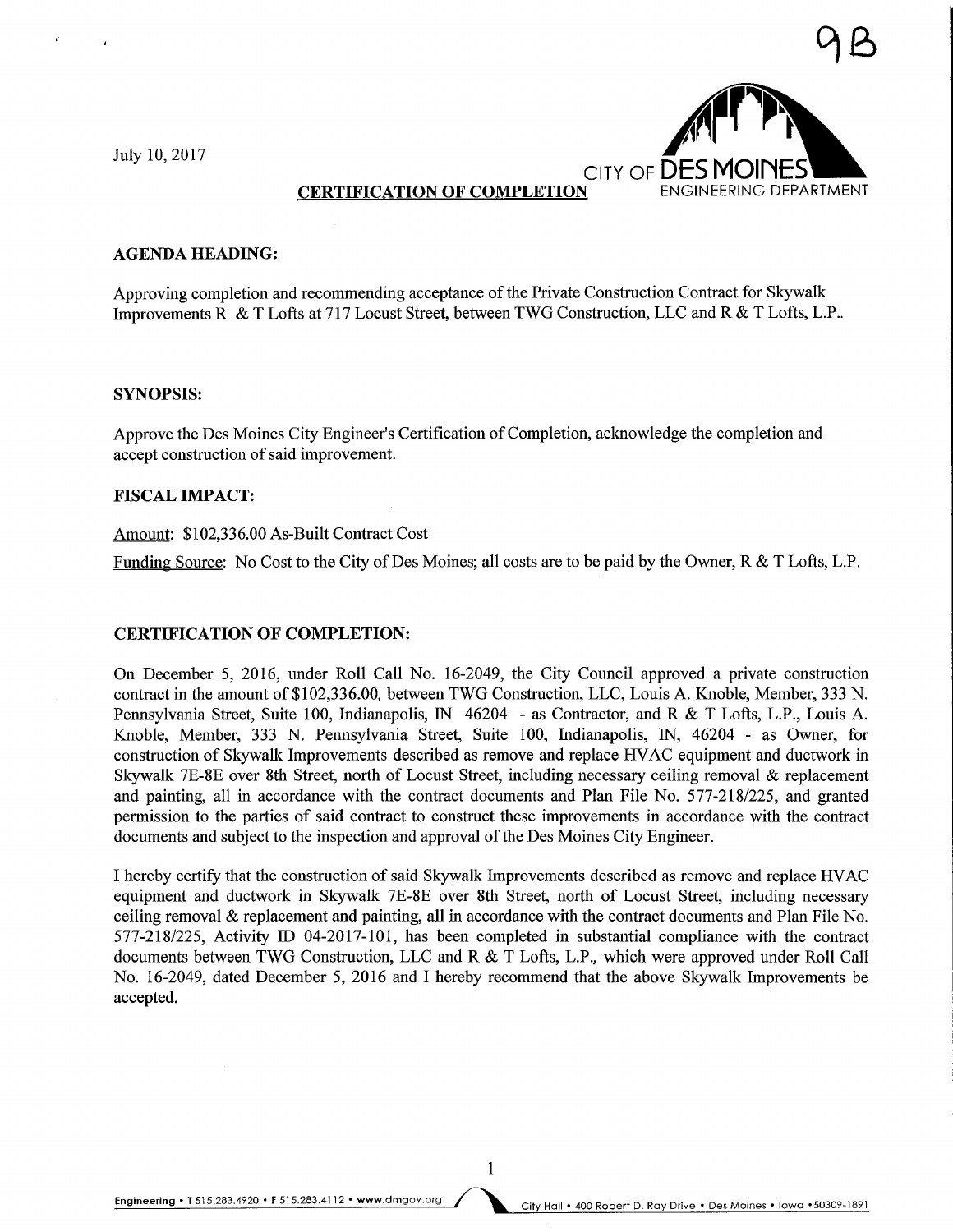

#### AGENDA HEADING:

Approving completion and recommending acceptance of the Private Construction Contract for Skywalk Improvements R & T Lofts at 717 Locust Street, between TWG Construction, LLC and R & T Lofts, L.P..

#### SYNOPSIS:

Approve the Des Moines City Engineer's Certification of Completion, acknowledge the completion and accept construction of said improvement.

#### FISCAL IMPACT:

#### Amount: \$102,336.00 As-Built Contract Cost

Funding Source: No Cost to the City of Des Moines; all costs are to be paid by the Owner,  $R \& T$  Lofts, L.P.

### CERTIFICATION OF COMPLETION:

On December 5, 2016, under Roll Call No. 16-2049, the City Council approved a private construction contract in the amount of \$102,336.00, between TWG Construction, LLC, Louis A. Knoble, Member, 333 N. Pennsylvania Street, Suite 100, Indianapolis, IN 46204 - as Contractor, and R & T Lofts, L.P., Louis A. Knoble, Member, 333 N. Pennsylvania Street, Suite 100, Indianapolis, IN, 46204 - as Owner, for construction of Skywalk Improvements described as remove and replace HVAC equipment and ductwork in Skywalk 7E-8E over 8th Street, north of Locust Street, including necessary ceiling removal & replacement and painting, all in accordance with the contract documents and Plan File No. 577-218/225, and granted permission to the parties of said contract to construct these improvements in accordance with the contract documents and subject to the inspection and approval of the Des Moines City Engineer.

I hereby certify that the construction of said Skywalk Improvements described as remove and replace HVAC equipment and ductwork in Skywalk 7E-8E over 8th Street, north of Locust Street, including necessary ceiling removal & replacement and painting, all in accordance with the contract documents and Plan File No. 577-218/225, Activity ID 04-2017-101, has been completed in substantial compliance with the contract documents between TWG Construction, LLC and R & T Lofts, L.P., which were approved under Roll Call No. 16-2049, dated December 5, 2016 and I hereby recommend that the above Skywalk Improvements be accepted.

 $\mathbf{1}$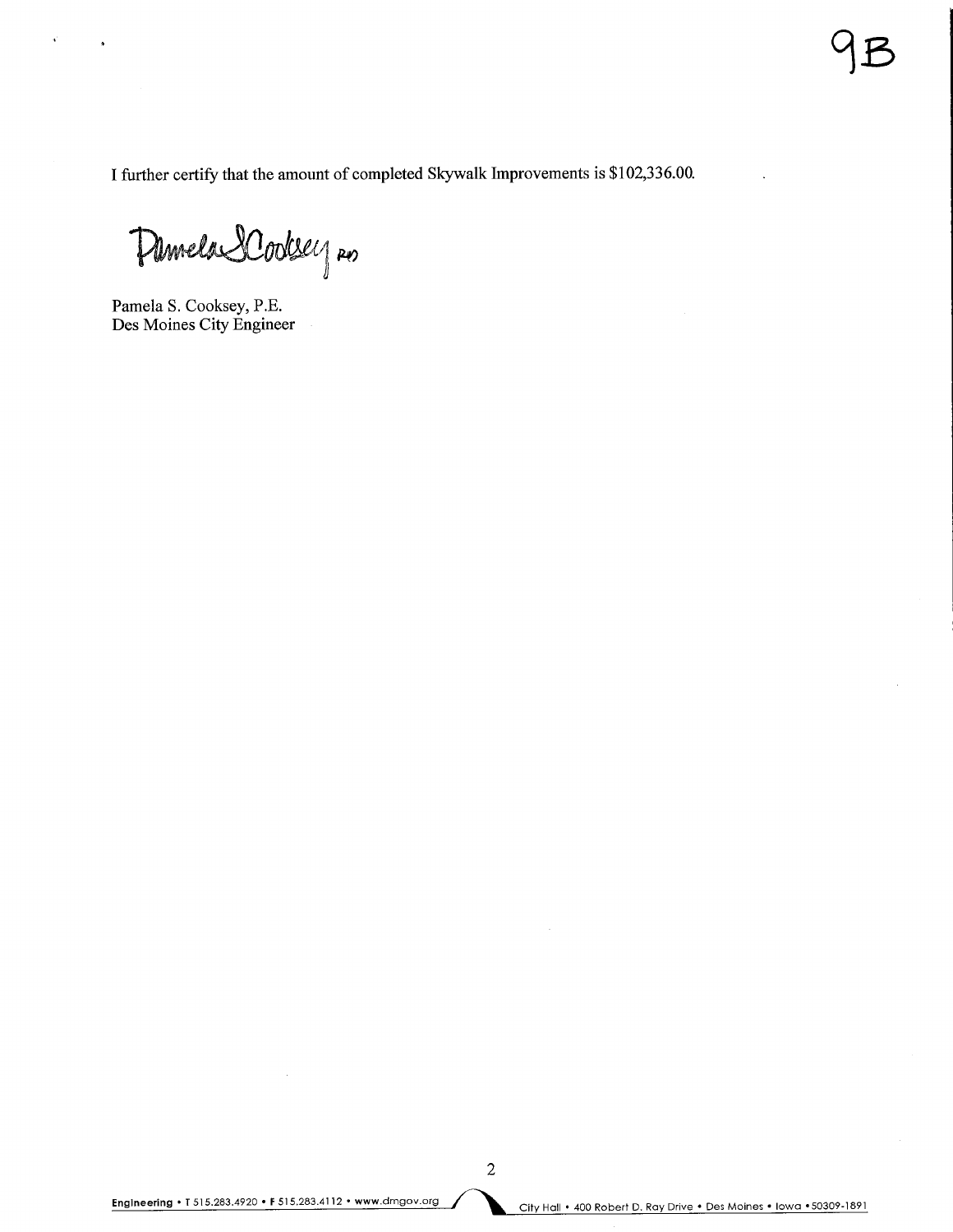I further certify that the amount of completed Skywalk Improvements is \$102,336.00.

Pamela SCodesey no

Pamela S. Cooksey, P.E. Des Moines City Engineer